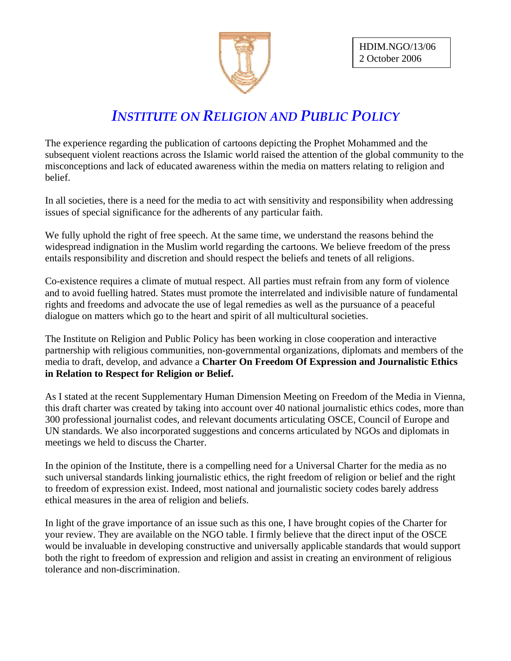

## *INSTITUTE ON RELIGION AND PUBLIC POLICY*

The experience regarding the publication of cartoons depicting the Prophet Mohammed and the subsequent violent reactions across the Islamic world raised the attention of the global community to the misconceptions and lack of educated awareness within the media on matters relating to religion and belief.

In all societies, there is a need for the media to act with sensitivity and responsibility when addressing issues of special significance for the adherents of any particular faith.

We fully uphold the right of free speech. At the same time, we understand the reasons behind the widespread indignation in the Muslim world regarding the cartoons. We believe freedom of the press entails responsibility and discretion and should respect the beliefs and tenets of all religions.

Co-existence requires a climate of mutual respect. All parties must refrain from any form of violence and to avoid fuelling hatred. States must promote the interrelated and indivisible nature of fundamental rights and freedoms and advocate the use of legal remedies as well as the pursuance of a peaceful dialogue on matters which go to the heart and spirit of all multicultural societies.

The Institute on Religion and Public Policy has been working in close cooperation and interactive partnership with religious communities, non-governmental organizations, diplomats and members of the media to draft, develop, and advance a **Charter On Freedom Of Expression and Journalistic Ethics in Relation to Respect for Religion or Belief.** 

As I stated at the recent Supplementary Human Dimension Meeting on Freedom of the Media in Vienna, this draft charter was created by taking into account over 40 national journalistic ethics codes, more than 300 professional journalist codes, and relevant documents articulating OSCE, Council of Europe and UN standards. We also incorporated suggestions and concerns articulated by NGOs and diplomats in meetings we held to discuss the Charter.

In the opinion of the Institute, there is a compelling need for a Universal Charter for the media as no such universal standards linking journalistic ethics, the right freedom of religion or belief and the right to freedom of expression exist. Indeed, most national and journalistic society codes barely address ethical measures in the area of religion and beliefs.

In light of the grave importance of an issue such as this one, I have brought copies of the Charter for your review. They are available on the NGO table. I firmly believe that the direct input of the OSCE would be invaluable in developing constructive and universally applicable standards that would support both the right to freedom of expression and religion and assist in creating an environment of religious tolerance and non-discrimination.